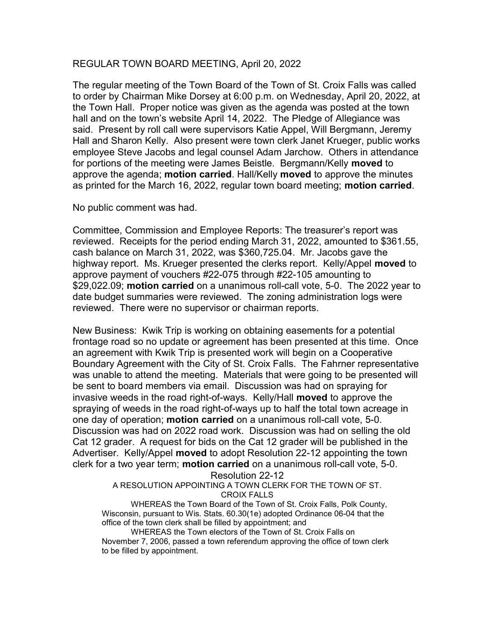## REGULAR TOWN BOARD MEETING, April 20, 2022

The regular meeting of the Town Board of the Town of St. Croix Falls was called to order by Chairman Mike Dorsey at 6:00 p.m. on Wednesday, April 20, 2022, at the Town Hall. Proper notice was given as the agenda was posted at the town hall and on the town's website April 14, 2022. The Pledge of Allegiance was said. Present by roll call were supervisors Katie Appel, Will Bergmann, Jeremy Hall and Sharon Kelly. Also present were town clerk Janet Krueger, public works employee Steve Jacobs and legal counsel Adam Jarchow. Others in attendance for portions of the meeting were James Beistle. Bergmann/Kelly **moved** to approve the agenda; **motion carried**. Hall/Kelly **moved** to approve the minutes as printed for the March 16, 2022, regular town board meeting; motion carried.

No public comment was had.

Committee, Commission and Employee Reports: The treasurer's report was reviewed. Receipts for the period ending March 31, 2022, amounted to \$361.55, cash balance on March 31, 2022, was \$360,725.04. Mr. Jacobs gave the highway report. Ms. Krueger presented the clerks report. Kelly/Appel moved to approve payment of vouchers #22-075 through #22-105 amounting to \$29,022.09; **motion carried** on a unanimous roll-call vote, 5-0. The 2022 year to date budget summaries were reviewed. The zoning administration logs were reviewed. There were no supervisor or chairman reports.

New Business: Kwik Trip is working on obtaining easements for a potential frontage road so no update or agreement has been presented at this time. Once an agreement with Kwik Trip is presented work will begin on a Cooperative Boundary Agreement with the City of St. Croix Falls. The Fahrner representative was unable to attend the meeting. Materials that were going to be presented will be sent to board members via email. Discussion was had on spraying for invasive weeds in the road right-of-ways. Kelly/Hall moved to approve the spraying of weeds in the road right-of-ways up to half the total town acreage in one day of operation; motion carried on a unanimous roll-call vote, 5-0. Discussion was had on 2022 road work. Discussion was had on selling the old Cat 12 grader. A request for bids on the Cat 12 grader will be published in the Advertiser. Kelly/Appel moved to adopt Resolution 22-12 appointing the town clerk for a two year term; motion carried on a unanimous roll-call vote, 5-0.

Resolution 22-12

A RESOLUTION APPOINTING A TOWN CLERK FOR THE TOWN OF ST. CROIX FALLS

WHEREAS the Town Board of the Town of St. Croix Falls, Polk County, Wisconsin, pursuant to Wis. Stats. 60.30(1e) adopted Ordinance 06-04 that the office of the town clerk shall be filled by appointment; and

WHEREAS the Town electors of the Town of St. Croix Falls on November 7, 2006, passed a town referendum approving the office of town clerk to be filled by appointment.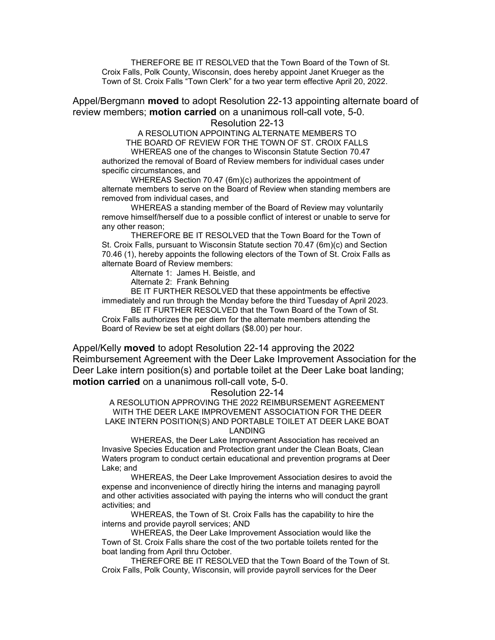THEREFORE BE IT RESOLVED that the Town Board of the Town of St. Croix Falls, Polk County, Wisconsin, does hereby appoint Janet Krueger as the Town of St. Croix Falls "Town Clerk" for a two year term effective April 20, 2022.

Appel/Bergmann **moved** to adopt Resolution 22-13 appointing alternate board of review members; **motion carried** on a unanimous roll-call vote, 5-0.

## Resolution 22-13

A RESOLUTION APPOINTING ALTERNATE MEMBERS TO THE BOARD OF REVIEW FOR THE TOWN OF ST. CROIX FALLS WHEREAS one of the changes to Wisconsin Statute Section 70.47

authorized the removal of Board of Review members for individual cases under specific circumstances, and

WHEREAS Section 70.47 (6m)(c) authorizes the appointment of alternate members to serve on the Board of Review when standing members are removed from individual cases, and

WHEREAS a standing member of the Board of Review may voluntarily remove himself/herself due to a possible conflict of interest or unable to serve for any other reason;

THEREFORE BE IT RESOLVED that the Town Board for the Town of St. Croix Falls, pursuant to Wisconsin Statute section 70.47 (6m)(c) and Section 70.46 (1), hereby appoints the following electors of the Town of St. Croix Falls as alternate Board of Review members:

Alternate 1: James H. Beistle, and

Alternate 2: Frank Behning

 BE IT FURTHER RESOLVED that these appointments be effective immediately and run through the Monday before the third Tuesday of April 2023.

 BE IT FURTHER RESOLVED that the Town Board of the Town of St. Croix Falls authorizes the per diem for the alternate members attending the Board of Review be set at eight dollars (\$8.00) per hour.

Appel/Kelly moved to adopt Resolution 22-14 approving the 2022 Reimbursement Agreement with the Deer Lake Improvement Association for the Deer Lake intern position(s) and portable toilet at the Deer Lake boat landing; motion carried on a unanimous roll-call vote, 5-0.

## Resolution 22-14

A RESOLUTION APPROVING THE 2022 REIMBURSEMENT AGREEMENT WITH THE DEER LAKE IMPROVEMENT ASSOCIATION FOR THE DEER LAKE INTERN POSITION(S) AND PORTABLE TOILET AT DEER LAKE BOAT LANDING

WHEREAS, the Deer Lake Improvement Association has received an Invasive Species Education and Protection grant under the Clean Boats, Clean Waters program to conduct certain educational and prevention programs at Deer Lake; and

WHEREAS, the Deer Lake Improvement Association desires to avoid the expense and inconvenience of directly hiring the interns and managing payroll and other activities associated with paying the interns who will conduct the grant activities; and

WHEREAS, the Town of St. Croix Falls has the capability to hire the interns and provide payroll services; AND

WHEREAS, the Deer Lake Improvement Association would like the Town of St. Croix Falls share the cost of the two portable toilets rented for the boat landing from April thru October.

THEREFORE BE IT RESOLVED that the Town Board of the Town of St. Croix Falls, Polk County, Wisconsin, will provide payroll services for the Deer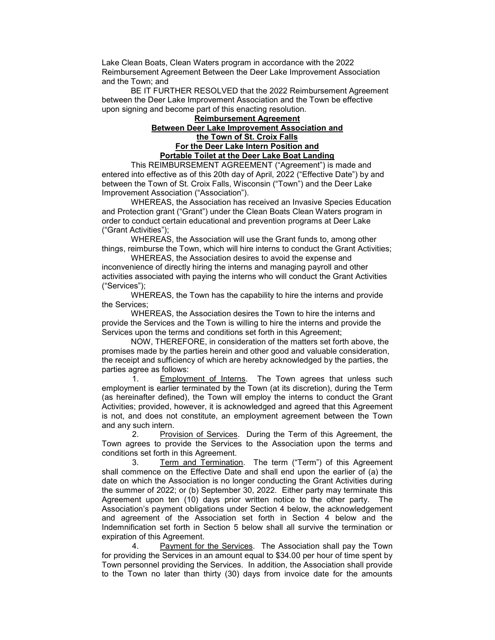Lake Clean Boats, Clean Waters program in accordance with the 2022 Reimbursement Agreement Between the Deer Lake Improvement Association and the Town; and

BE IT FURTHER RESOLVED that the 2022 Reimbursement Agreement between the Deer Lake Improvement Association and the Town be effective upon signing and become part of this enacting resolution.

## Reimbursement Agreement Between Deer Lake Improvement Association and the Town of St. Croix Falls For the Deer Lake Intern Position and Portable Toilet at the Deer Lake Boat Landing

This REIMBURSEMENT AGREEMENT ("Agreement") is made and entered into effective as of this 20th day of April, 2022 ("Effective Date") by and between the Town of St. Croix Falls, Wisconsin ("Town") and the Deer Lake Improvement Association ("Association").

 WHEREAS, the Association has received an Invasive Species Education and Protection grant ("Grant") under the Clean Boats Clean Waters program in order to conduct certain educational and prevention programs at Deer Lake ("Grant Activities");

 WHEREAS, the Association will use the Grant funds to, among other things, reimburse the Town, which will hire interns to conduct the Grant Activities;

 WHEREAS, the Association desires to avoid the expense and inconvenience of directly hiring the interns and managing payroll and other activities associated with paying the interns who will conduct the Grant Activities ("Services");

 WHEREAS, the Town has the capability to hire the interns and provide the Services;

 WHEREAS, the Association desires the Town to hire the interns and provide the Services and the Town is willing to hire the interns and provide the Services upon the terms and conditions set forth in this Agreement;

 NOW, THEREFORE, in consideration of the matters set forth above, the promises made by the parties herein and other good and valuable consideration, the receipt and sufficiency of which are hereby acknowledged by the parties, the parties agree as follows:

1. Employment of Interns. The Town agrees that unless such employment is earlier terminated by the Town (at its discretion), during the Term (as hereinafter defined), the Town will employ the interns to conduct the Grant Activities; provided, however, it is acknowledged and agreed that this Agreement is not, and does not constitute, an employment agreement between the Town and any such intern.

2. Provision of Services. During the Term of this Agreement, the Town agrees to provide the Services to the Association upon the terms and conditions set forth in this Agreement.

3. Term and Termination. The term ("Term") of this Agreement shall commence on the Effective Date and shall end upon the earlier of (a) the date on which the Association is no longer conducting the Grant Activities during the summer of 2022; or (b) September 30, 2022. Either party may terminate this Agreement upon ten (10) days prior written notice to the other party. The Association's payment obligations under Section 4 below, the acknowledgement and agreement of the Association set forth in Section 4 below and the Indemnification set forth in Section 5 below shall all survive the termination or expiration of this Agreement.

4. Payment for the Services. The Association shall pay the Town for providing the Services in an amount equal to \$34.00 per hour of time spent by Town personnel providing the Services. In addition, the Association shall provide to the Town no later than thirty (30) days from invoice date for the amounts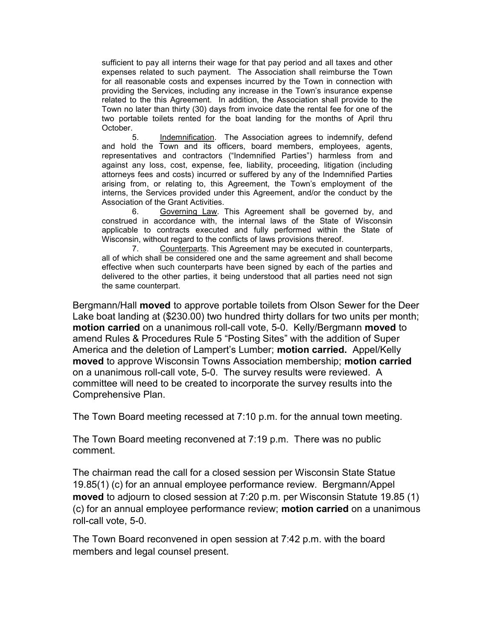sufficient to pay all interns their wage for that pay period and all taxes and other expenses related to such payment. The Association shall reimburse the Town for all reasonable costs and expenses incurred by the Town in connection with providing the Services, including any increase in the Town's insurance expense related to the this Agreement. In addition, the Association shall provide to the Town no later than thirty (30) days from invoice date the rental fee for one of the two portable toilets rented for the boat landing for the months of April thru October.

5. Indemnification. The Association agrees to indemnify, defend and hold the Town and its officers, board members, employees, agents, representatives and contractors ("Indemnified Parties") harmless from and against any loss, cost, expense, fee, liability, proceeding, litigation (including attorneys fees and costs) incurred or suffered by any of the Indemnified Parties arising from, or relating to, this Agreement, the Town's employment of the interns, the Services provided under this Agreement, and/or the conduct by the Association of the Grant Activities.

6. Governing Law. This Agreement shall be governed by, and construed in accordance with, the internal laws of the State of Wisconsin applicable to contracts executed and fully performed within the State of Wisconsin, without regard to the conflicts of laws provisions thereof.

7. Counterparts. This Agreement may be executed in counterparts, all of which shall be considered one and the same agreement and shall become effective when such counterparts have been signed by each of the parties and delivered to the other parties, it being understood that all parties need not sign the same counterpart.

Bergmann/Hall moved to approve portable toilets from Olson Sewer for the Deer Lake boat landing at (\$230.00) two hundred thirty dollars for two units per month; motion carried on a unanimous roll-call vote, 5-0. Kelly/Bergmann moved to amend Rules & Procedures Rule 5 "Posting Sites" with the addition of Super America and the deletion of Lampert's Lumber; **motion carried.** Appel/Kelly moved to approve Wisconsin Towns Association membership; motion carried on a unanimous roll-call vote, 5-0. The survey results were reviewed. A committee will need to be created to incorporate the survey results into the Comprehensive Plan.

The Town Board meeting recessed at 7:10 p.m. for the annual town meeting.

The Town Board meeting reconvened at 7:19 p.m. There was no public comment.

The chairman read the call for a closed session per Wisconsin State Statue 19.85(1) (c) for an annual employee performance review. Bergmann/Appel moved to adjourn to closed session at 7:20 p.m. per Wisconsin Statute 19.85 (1) (c) for an annual employee performance review; motion carried on a unanimous roll-call vote, 5-0.

The Town Board reconvened in open session at 7:42 p.m. with the board members and legal counsel present.